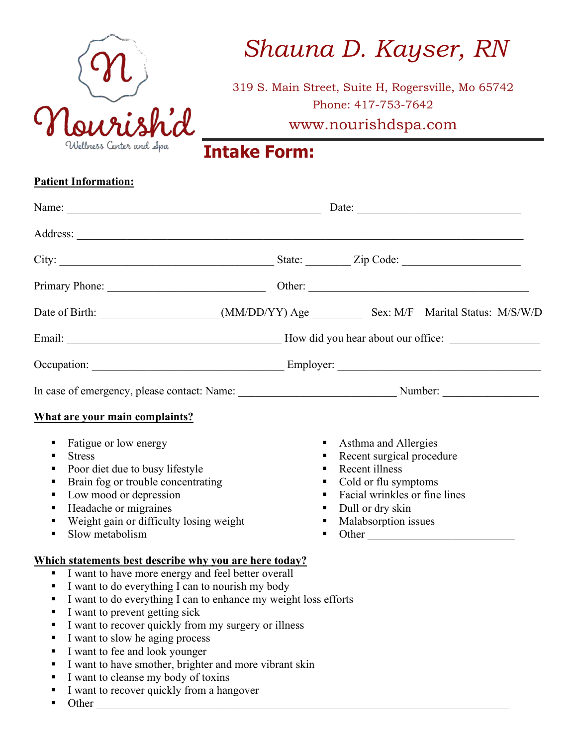

# *Shauna D. Kayser, RN*

319 S. Main Street, Suite H, Rogersville, Mo 65742 Phone: 417-753-7642 www.nourishdspa.com

**Intake Form:**

### **Patient Information:**

|                                                                                                                                                                                                                                                                                                                                                                                                                                                                                     |                  | Date:                                                                                                                                                                    |  |
|-------------------------------------------------------------------------------------------------------------------------------------------------------------------------------------------------------------------------------------------------------------------------------------------------------------------------------------------------------------------------------------------------------------------------------------------------------------------------------------|------------------|--------------------------------------------------------------------------------------------------------------------------------------------------------------------------|--|
|                                                                                                                                                                                                                                                                                                                                                                                                                                                                                     |                  |                                                                                                                                                                          |  |
|                                                                                                                                                                                                                                                                                                                                                                                                                                                                                     |                  |                                                                                                                                                                          |  |
|                                                                                                                                                                                                                                                                                                                                                                                                                                                                                     |                  |                                                                                                                                                                          |  |
|                                                                                                                                                                                                                                                                                                                                                                                                                                                                                     |                  |                                                                                                                                                                          |  |
|                                                                                                                                                                                                                                                                                                                                                                                                                                                                                     |                  |                                                                                                                                                                          |  |
|                                                                                                                                                                                                                                                                                                                                                                                                                                                                                     |                  |                                                                                                                                                                          |  |
|                                                                                                                                                                                                                                                                                                                                                                                                                                                                                     |                  |                                                                                                                                                                          |  |
| What are your main complaints?                                                                                                                                                                                                                                                                                                                                                                                                                                                      |                  |                                                                                                                                                                          |  |
| Fatigue or low energy<br>٠<br><b>Stress</b><br>٠<br>Poor diet due to busy lifestyle<br>п<br>Brain fog or trouble concentrating<br>٠<br>Low mood or depression<br>Headache or migraines<br>п<br>Weight gain or difficulty losing weight<br>Slow metabolism<br>٠                                                                                                                                                                                                                      | П<br>П<br>П<br>٠ | Asthma and Allergies<br>Recent surgical procedure<br>Recent illness<br>Cold or flu symptoms<br>Facial wrinkles or fine lines<br>Dull or dry skin<br>Malabsorption issues |  |
| Which statements best describe why you are here today?<br>I want to have more energy and feel better overall<br>٠<br>I want to do everything I can to nourish my body<br>I want to do everything I can to enhance my weight loss efforts<br>٠<br>I want to prevent getting sick<br>٠<br>I want to recover quickly from my surgery or illness<br>I want to slow he aging process<br>٠<br>$\Gamma$ consist to $\Gamma$ and $\Gamma$ and $\Gamma$ and $\Gamma$ are access and $\Gamma$ |                  |                                                                                                                                                                          |  |

- I want to fee and look younger
- I want to have smother, brighter and more vibrant skin
- I want to cleanse my body of toxins
- I want to recover quickly from a hangover
- Other \_\_\_\_\_\_\_\_\_\_\_\_\_\_\_\_\_\_\_\_\_\_\_\_\_\_\_\_\_\_\_\_\_\_\_\_\_\_\_\_\_\_\_\_\_\_\_\_\_\_\_\_\_\_\_\_\_\_\_\_\_\_\_\_\_\_\_\_\_\_\_\_\_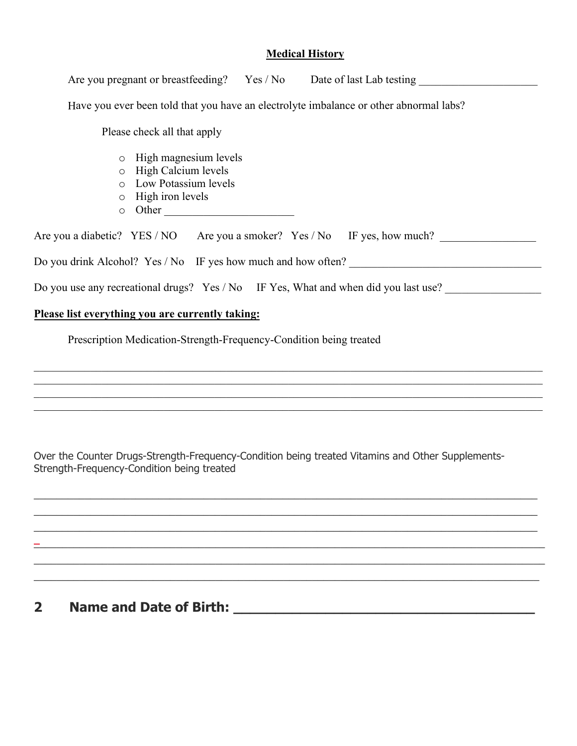### **Medical History**

| Are you pregnant or breastfeeding? Yes / No Date of last Lab testing                                                                                     |  |  |  |
|----------------------------------------------------------------------------------------------------------------------------------------------------------|--|--|--|
| Have you ever been told that you have an electrolyte imbalance or other abnormal labs?                                                                   |  |  |  |
| Please check all that apply                                                                                                                              |  |  |  |
| High magnesium levels<br>$\circ$<br>High Calcium levels<br>$\circ$<br>Low Potassium levels<br>$\circ$<br>High iron levels<br>$\circ$<br>Other<br>$\circ$ |  |  |  |
| Are you a diabetic? YES / NO Are you a smoker? Yes / No IF yes, how much?                                                                                |  |  |  |
| Do you drink Alcohol? Yes / No IF yes how much and how often?                                                                                            |  |  |  |
| Do you use any recreational drugs? Yes / No IF Yes, What and when did you last use?                                                                      |  |  |  |
| Please list everything you are currently taking:                                                                                                         |  |  |  |
| Prescription Medication-Strength-Frequency-Condition being treated                                                                                       |  |  |  |
|                                                                                                                                                          |  |  |  |
|                                                                                                                                                          |  |  |  |
| Over the Counter Drugs-Strength-Frequency-Condition being treated Vitamins and Other Supplements-<br>Strength-Frequency-Condition being treated          |  |  |  |
|                                                                                                                                                          |  |  |  |
|                                                                                                                                                          |  |  |  |

 $\mathcal{L}_\mathcal{L} = \{ \mathcal{L}_\mathcal{L} = \{ \mathcal{L}_\mathcal{L} = \{ \mathcal{L}_\mathcal{L} = \{ \mathcal{L}_\mathcal{L} = \{ \mathcal{L}_\mathcal{L} = \{ \mathcal{L}_\mathcal{L} = \{ \mathcal{L}_\mathcal{L} = \{ \mathcal{L}_\mathcal{L} = \{ \mathcal{L}_\mathcal{L} = \{ \mathcal{L}_\mathcal{L} = \{ \mathcal{L}_\mathcal{L} = \{ \mathcal{L}_\mathcal{L} = \{ \mathcal{L}_\mathcal{L} = \{ \mathcal{L}_\mathcal{$ 

 $\_$ 

## **2 Name and Date of Birth: \_\_\_\_\_\_\_\_\_\_\_\_\_\_\_\_\_\_\_\_\_\_\_\_\_\_\_\_\_\_\_\_\_\_\_\_**